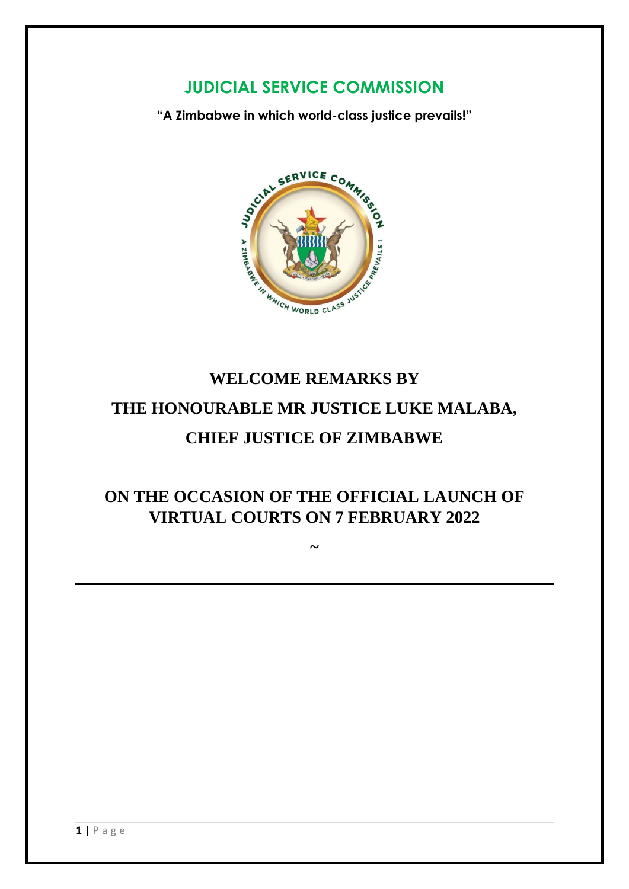## **JUDICIAL SERVICE COMMISSION**

**"A Zimbabwe in which world-class justice prevails!"**



## **WELCOME REMARKS BY THE HONOURABLE MR JUSTICE LUKE MALABA, CHIEF JUSTICE OF ZIMBABWE**

**ON THE OCCASION OF THE OFFICIAL LAUNCH OF VIRTUAL COURTS ON 7 FEBRUARY 2022**

**~**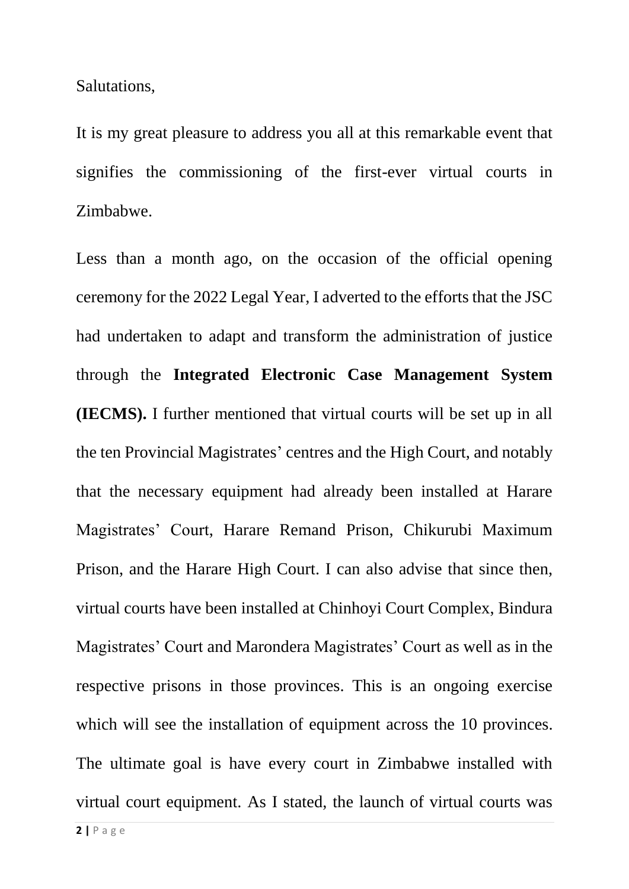Salutations,

It is my great pleasure to address you all at this remarkable event that signifies the commissioning of the first-ever virtual courts in Zimbabwe.

Less than a month ago, on the occasion of the official opening ceremony for the 2022 Legal Year, I adverted to the efforts that the JSC had undertaken to adapt and transform the administration of justice through the **Integrated Electronic Case Management System (IECMS).** I further mentioned that virtual courts will be set up in all the ten Provincial Magistrates' centres and the High Court, and notably that the necessary equipment had already been installed at Harare Magistrates' Court, Harare Remand Prison, Chikurubi Maximum Prison, and the Harare High Court. I can also advise that since then, virtual courts have been installed at Chinhoyi Court Complex, Bindura Magistrates' Court and Marondera Magistrates' Court as well as in the respective prisons in those provinces. This is an ongoing exercise which will see the installation of equipment across the 10 provinces. The ultimate goal is have every court in Zimbabwe installed with virtual court equipment. As I stated, the launch of virtual courts was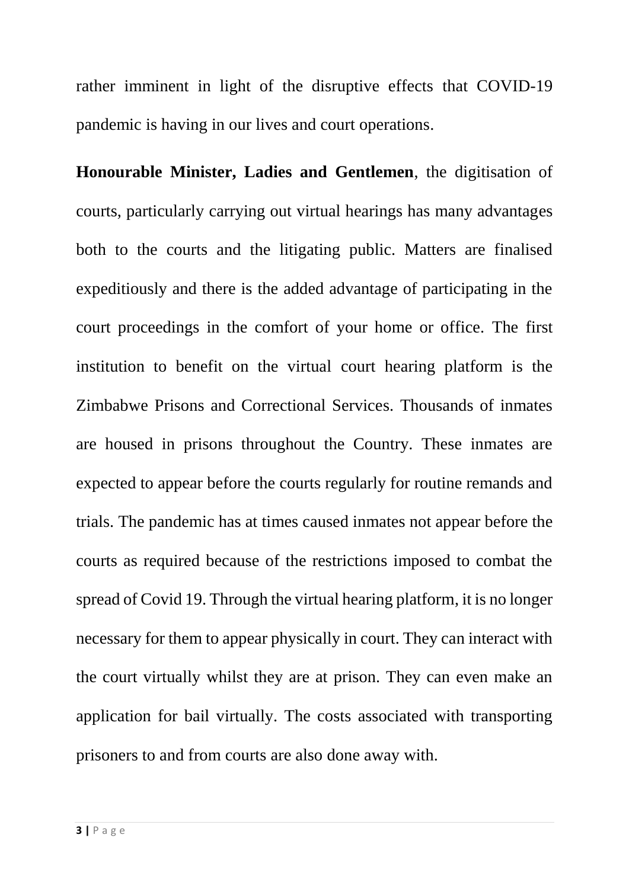rather imminent in light of the disruptive effects that COVID-19 pandemic is having in our lives and court operations.

**Honourable Minister, Ladies and Gentlemen**, the digitisation of courts, particularly carrying out virtual hearings has many advantages both to the courts and the litigating public. Matters are finalised expeditiously and there is the added advantage of participating in the court proceedings in the comfort of your home or office. The first institution to benefit on the virtual court hearing platform is the Zimbabwe Prisons and Correctional Services. Thousands of inmates are housed in prisons throughout the Country. These inmates are expected to appear before the courts regularly for routine remands and trials. The pandemic has at times caused inmates not appear before the courts as required because of the restrictions imposed to combat the spread of Covid 19. Through the virtual hearing platform, it is no longer necessary for them to appear physically in court. They can interact with the court virtually whilst they are at prison. They can even make an application for bail virtually. The costs associated with transporting prisoners to and from courts are also done away with.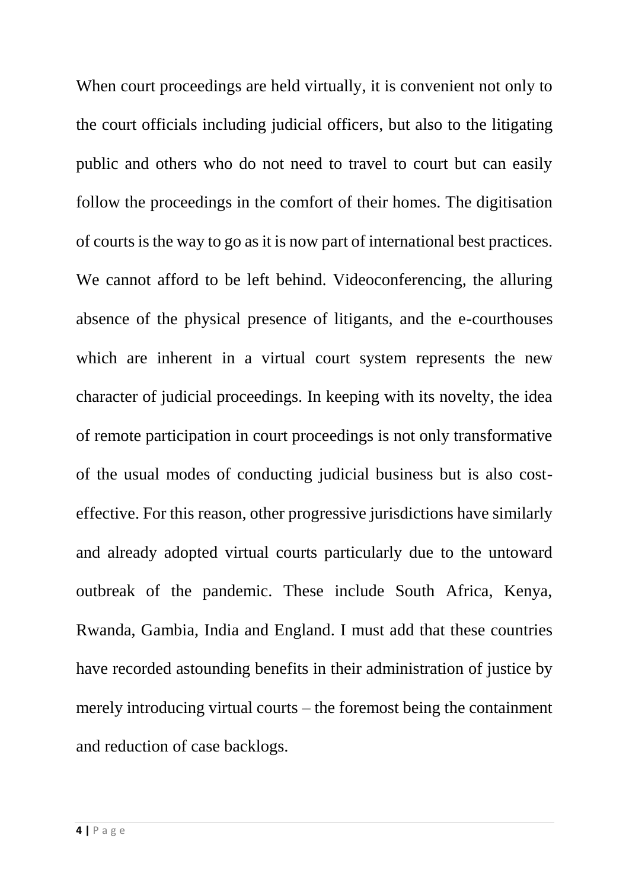When court proceedings are held virtually, it is convenient not only to the court officials including judicial officers, but also to the litigating public and others who do not need to travel to court but can easily follow the proceedings in the comfort of their homes. The digitisation of courts is the way to go as it is now part of international best practices. We cannot afford to be left behind. Videoconferencing, the alluring absence of the physical presence of litigants, and the e-courthouses which are inherent in a virtual court system represents the new character of judicial proceedings. In keeping with its novelty, the idea of remote participation in court proceedings is not only transformative of the usual modes of conducting judicial business but is also costeffective. For this reason, other progressive jurisdictions have similarly and already adopted virtual courts particularly due to the untoward outbreak of the pandemic. These include South Africa, Kenya, Rwanda, Gambia, India and England. I must add that these countries have recorded astounding benefits in their administration of justice by merely introducing virtual courts – the foremost being the containment and reduction of case backlogs.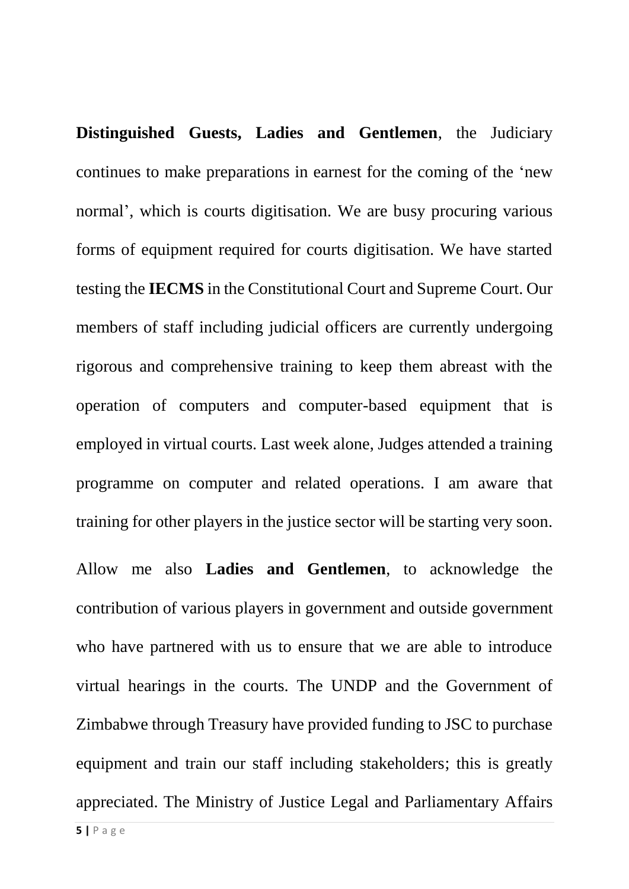**Distinguished Guests, Ladies and Gentlemen**, the Judiciary continues to make preparations in earnest for the coming of the 'new normal', which is courts digitisation. We are busy procuring various forms of equipment required for courts digitisation. We have started testing the **IECMS** in the Constitutional Court and Supreme Court. Our members of staff including judicial officers are currently undergoing rigorous and comprehensive training to keep them abreast with the operation of computers and computer-based equipment that is employed in virtual courts. Last week alone, Judges attended a training programme on computer and related operations. I am aware that training for other players in the justice sector will be starting very soon.

Allow me also **Ladies and Gentlemen**, to acknowledge the contribution of various players in government and outside government who have partnered with us to ensure that we are able to introduce virtual hearings in the courts. The UNDP and the Government of Zimbabwe through Treasury have provided funding to JSC to purchase equipment and train our staff including stakeholders; this is greatly appreciated. The Ministry of Justice Legal and Parliamentary Affairs